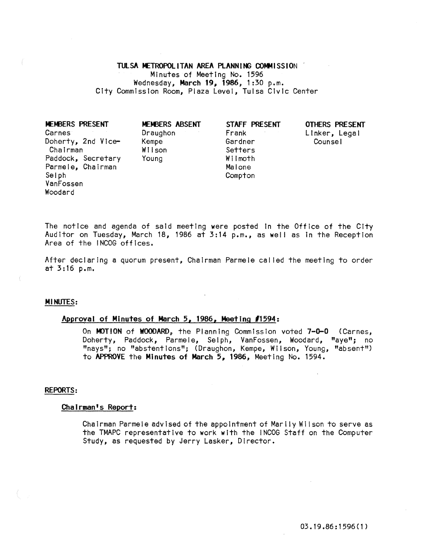# TULSA METROPOLITAN AREA PLANNING COMMISSION

Minutes of Meeting No. 1596 Wednesday, March 19, 1986, 1:30 p.m. City Commission Room, Plaza Level, Tulsa Civic Center

**MEMBERS PRESENT** Carnes Doherty, 2nd Vice- Kempe Gardner Counsel Chairman Paddock, Secretary Parmele, Chairman Selph VanFossen Woodard

MEMBERS ABSENT Draughon Young

STAFF PRESENT Frank Setters Wilmoth

Malone **Compton** 

# OTHERS PRESENT Linker, Legal

The notice and agenda of said meeting were posted in the Office of the City Auditor on Tuesday, March 18, 1986 at 3:14 p.m., as well as in the Reception Area of the INCOG offices.

After declaring a quorum present, Chairman Parmele cal led the meeting to order at 3: 16 p. m.

# Ml NUTES:

# Approval of Minutes of March 5, 1986, Meeting *11594:*

On MOTION of WOODARD, the Planning Commission voted 7-0-0 (Carnes, Doherty, Paddock, Parmele, Selph, VanFossen, Woodard, "aye"; no "nays"; no "abstentions"; (Draughon, Kempe, WII son, Young, "absent") to APPROVE the Minutes of March 5, 1986, Meeting No. 1594.

#### REPORTS:

#### Chairman's Report:

Chairman Parmele advised of the appointment of Marily Wilson to serve as the TMAPC representative to work with the INCOG Staff on the Computer Study, as requested by Jerry Lasker, Director.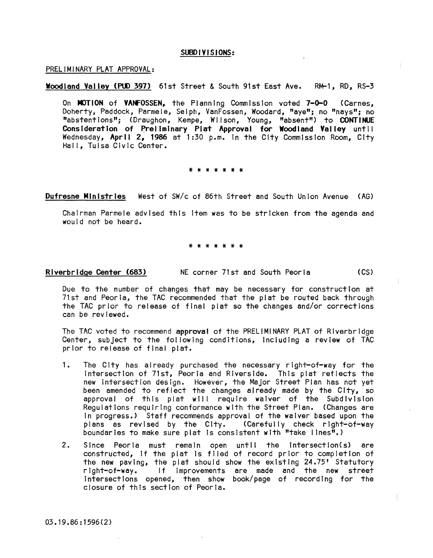# SUBDIVISIONS:

#### PRELIMINARY PLAT APPROVAL:

# Woodland Valley (PUD 397) 61st Street & South 91st East Ave. RM-1, RD, RS-3

On MOTION of VANFOSSEN, the Planning Commission voted 7-0-0 (Carnes. Doherty, Paddock, Parmele, Selph, VanFossen, Woodard, "aye"; no "nays"; no "abstentions"; (Draughon, Kempe, Wilson, Young, "absent") to CONTINUE Consideration of Preliminary Plat Approval for Woodland Valley until Wednesday, April 2, 1986 at 1:30 p.m. in the City Commission Room, City Hall, Tulsa Civic Center.

#### \* \* \* \* \* \* \*

Dufresne Ministries West of SW/c of 86th Street and South Union Avenue (AG)

Chairman Parmele advised this Item was to be stricken from the agenda and would not be heard.

### \* \* \* \* \* \* \*

Riverbridge Center (683) NE corner 71st and South Peoria (CS)

Due to the number of changes that may be necessary for construction at 71st and Peoria, the TAC recommended that the plat be routed back through the TAC prior to release of final plat so the changes and/or corrections can be reviewed.

The TAC voted to recommend approval of the PRELIMINARY PLAT of Riverbridge Center, subject to the following conditions, including a review of TAC prior to release of final plat.

- 1. The City has already purchased the necessary right-of-way for the Intersection of 71st, Peoria and Riverside. This plat reflects the new intersection design. However, the Major Street Plan has not yet been amended to reflect the changes already made by the City, so approval of this plat will require waiver of the Subdivision Regulations requiring conformance with the Street Plan. (Changes are In progress.) Staff recommends approval of the waiver based upon the plans as revised by the City. (Carefully check right-of-way boundaries to make sure plat is consistent with "take lines".)
- 2. Since Peoria must remain open until the intersection(s) are constructed, if the plat is filed of record prior to completion of the new paving, the plat should show the existing  $24.75$ ' Statutory right-of-way. If improvements are made and the new street Intersections opened, then show book/page of recording for the closure of this section of Peoria.

03 • 19.86 : 1596 (2 )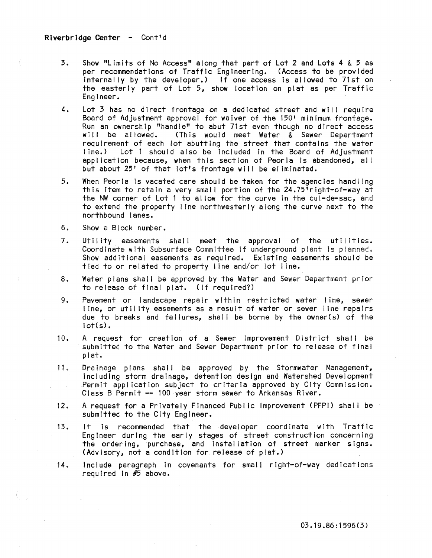- 3. Show "Limits of No Access" along that part of Lot 2 and Lots 4 & 5 as per recommendations of Traffic Engineering. (Access to be provided internally by the developer.) If one access is allowed to 71st on the easterly part of Lot 5, show location on plat as per Traffic Engineer.
- 4. Lot 3 has no direct frontage on a dedicated street and will require Board of Adjustment approval for waIver of the 150' minimum frontage. Run an ownership "handle" to abut 71st even though no direct access<br>will be allowed. (This would meet Water & Sewer Department (This would meet Water  $\&$  Sewer Department requirement of each lot abutting the street that contains the water Lot 1 should also be included in the Board of Adjustment application because, when this section of Peoria Is abandoned, all but about 25' of that lot's frontage will be eliminated.
- 5. When Peoria Is vacated care should be taken for the agencies handling this item to retain a very small portion of the 24.75<sup>1</sup> right-of-way at the NW corner of Lot 1 to al low for the curve In the cul-de-sac, and to extend the property line northwesterly along the curve next to the northbound lanes.
- 6. Show a Block number.
- 7. Utility easements shall meet the approval of the utilities. Coordinate with Subsurface Committee If underground plant Is planned. Show additional easements as required. Existing easements should be tied to or related to property line and/or lot line.
- 8. Water plans shall be approved by the Water and Sewer Department prior to release of final plat. (If required?)
- 9. Pavement or landscape repair within restricted water line, sewer I ine, or utility easements as a result of water or sewer line repairs due to breaks and failures, shall be borne by the owner(s) of the  $tot(s)$ .
- 10. A request for creation of a Sewer Improvement District shall be submitted to the Water and Sewer Department prior to release of final plat.
- 11. Drainage plans shall be approved by the Stormwater Management, Including storm drainage, detention design and Watershed Development Permit appl icatlon subject to criteria approved by City Commission. Class B Permit -- 100 year storm sewer to Arkansas River.
- 12. A request for a Privately Financed Publ ic Improvement (PFPI) shal I be submitted to the City Engineer.
- 13. It Is recommended that the developer coordinate with Traffic Engineer during the early stages of street construction concerning the ordering, purchase, and installation of street marker signs. (Advisory, not a condition for release of plat.)
- 14. Include paragraph in covenants for small right-of-way dedications required In #5 above.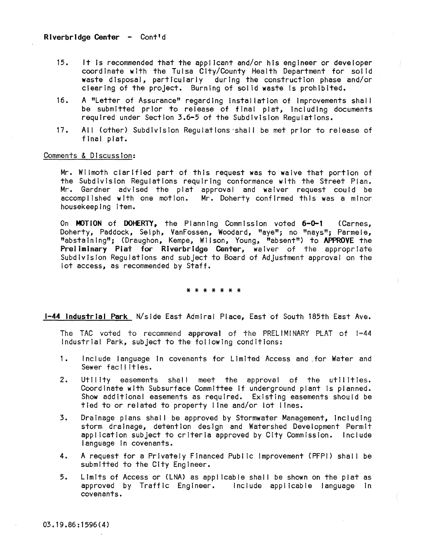- 15. It Is recommended that the applIcant and/or hIs engIneer or developer coordInate with the Tulsa City/County Health Department for solid waste disposal, particularly during the construction phase and/or clearing of the project. Burning of solid waste Is prohibited.
- 16. A "Letter of Assurance" regarding installation of improvements shall be submitted prior to release of final plat, including documents required under Section 3.6-5 of the Subdivision Regulations.
- 17. All (other) Subdivision Regulations 'shall be met prior to release of final plat.

### Comments & Discussion:

Mr. Wilmoth clarified part of this request was to waive that portion of the Subdivision Regulations requiring conformance with the Street Plan. Mr. Gardner advised the plat approval and waiver request could be accomplished with one motion. Mr. Doherty confirmed this was a minor housekeeping Item.

On MOTION of DOHERTY, the Planning Commission voted 6-0-1 (Carnes, Doherty, Paddock, Selph, VanFossen, Woodard, "aye"; no "nays"; Parmele, "abstaining"; (Draughon, Kempe, Wilson, Young, "absent") to APPROVE the Preliminary Plat for Riverbridge Center, waiver of the appropriate Subdivision Regulations and subject to Board of Adjustment approval on the lot access, as recommended by Staff.

\* \* \* \* \* \* \*

1-44 Industrial Park N/sJde East Admiral Place, East of South 185th East Ave.

The TAC voted to recommend approval of the PRELIMINARY PLAT of 1-44 Industrial Park, subject to the fol lowing conditions:

- 1. Include language in covenants for Limited Access and for Water and Sewer facilities.
- 2. Utility easements shall meet the approval of the utilities. Coordinate with Subsurface Committee If underground plant Is planned. Show additional easements as required. Existing easements should be tied to or related to property line and/or lot lines.
- 3. Drainage plans shall be approved by Stormwater Management, including storm drainage, detention design and Watershed Development Permit appl icatlon subject to criteria approved by City Commission. Include language In covenants.
- 4. A request for a Privately Financed Public Improvement (PFPI) shall be submitted to the City Engineer.
- 5. Limits of Access or (LNA) as applicable shal I be shown on the plat as approved by Traffic Engineer. Include applicable language In covenants.

03.19.86:1596(4)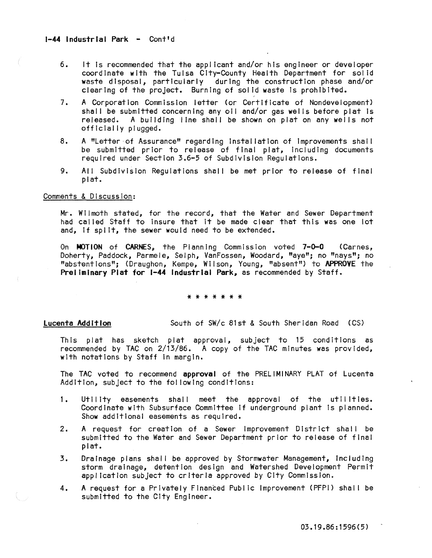- 6. It Is recommended that the applicant and/or his engineer or developer coordinate with the Tulsa City-County Health Department for solid waste disposal, particularly during the construction phase and/or clearing of the project. Burning of solid waste Is prohibited.
- 7. A Corporation Commission letter (or Certificate of Nondevelopment) shall be submitted concerning any oil and/or gas wells before plat is released. A building line shall be shown on plat on any wells not officially plugged.
- 8. A "Letter of Assurance" regarding installation of improvements shall be submitted prior to release of final plat, including documents required under Section 3.6-5 of Subdivision Regulations.
- 9. All Subdivision Regulations shall be met prior to release of final plat.

# Comments & Discussion:

Mr. Wilmoth stated, for the record, that the Water and Sewer Department had called Staff to Insure that It be made clear that this was one lot and, if split, the sewer would need to be extended.

On MOTION of CARNES, the Planning Commission voted 7-0-0 (Carnes, Doherty, Paddock, Parmele, Selph, VanFossen, Woodard, "aye"; no "nays"; no "abstentions"; (Draughon, Kempe, Wi I son, Young, "absent") to APPROVE the Preliminary Plat for 1-44 Industrial Park, as recommended by Staff.

#### \* \* \* \* \* \* \*

Lucenta Addition South of SW/c 81st & South Sheridan Road (CS)

This plat has sketch plat approval, subject to 15 conditions as recommended by TAC on 2/13/86. A copy of the TAC minutes was provided, with notations by Staff In margin.

The TAC voted to recommend approval of the PRELIMINARY PLAT of Lucenta Addition, subject to the fol lowing conditions:

- 1. Utility easements shall meet the approval of the utilities. Coordinate with Subsurface Committee If underground plant Is planned. Show additional easements as required.
- 2. A request for creation of a Sewer Improvement District shall be submitted to the Water and Sewer Department prior to release of final plat.
- 3. Drainage plans shall be approved by Stormwater Management, including storm drainage, detention design and Watershed Development Permit application subject to criteria approved by City Commission.
- 4. A request for a Privately Financed Public Improvement (PFPI) shall be submitted to the City Engineer.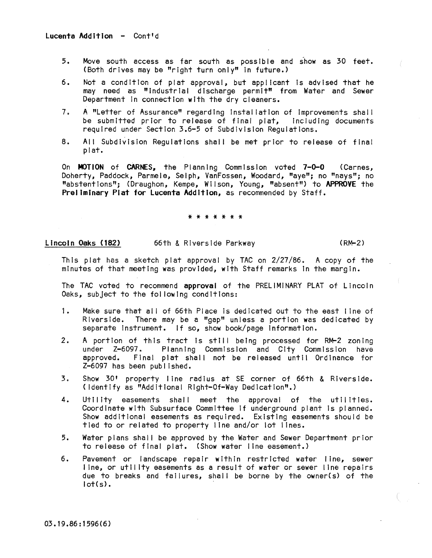- 5. Move south access as far south as possible and show as 30 feet. (Both drives may be "right turn only" in future.)
- 6. Not a condition of plat approval, but applicant is advised that he may need as "industrial discharge permit" from Water and Sewer Department In connection with the dry cleaners.
- 7. A "Letter of Assurance" regarding installation of improvements shall<br>be submitted prior to release of final plat. Including documents be submitted prior to release of final plat, required under Section 3.6-5 of Subdivision Regulations.
- 8. All Subdivision Regulations shall be met prior to release of final plat.

On MOTION of CARNES, the Planning Commission voted 1-0-0 (Carnes, Doherty, Paddock, Parmele, Selph, VanFossen, Woodard, "aye"; no "nays"; no "abstentions"; (Draughon, Kempe, Wilson, Young, "absent") to APPROVE the Preliminary Plat for Lucenta Addition, as recommended by Staff.

#### \* \* \* \* \* \* \*

Lincoln Oaks (182) 66th & Riverside Parkway (RM-2)

This plat has a sketch plat approval by TAC on  $2/27/86$ . A copy of the minutes of that meeting was provided, with Staff remarks In the margin.

The TAC voted to recommend approval of the PRELIMINARY PLAT of Lincoln Oaks, subject to the fol lowing conditions:

- 1. Make sure that all of 66th Place is dedicated out to the east line of Riverside. There may be a "gap" unless a portion was dedicated by separate Instrument. If so, show book/page information.
- 2. A portion of this tract is still being processed for RM-2 zoning under Z-6097. Planning Commission and City Commission have approved. Final plat shall not be released until Ordinance for Z-6097 has been publ ished.
- 3. Show 30' property line radius at SE corner of 66th & Riverside. C Identify as "Additional Right-Of-Way Dedication".>
- 4. Utility easements shall meet the approval of the utilities. Coordinate with Subsurface Committee If underground plant Is planned. Show additional easements as required. Existing easements should be tied to or related to property line and/or lot lines.
- 5. Water plans shall be approved by the Water and Sewer Department prior to release of final plat. (Show water line easement.)
- 6. Pavement or landscape repair within restricted water line, sewer line, or utility easements as a result of water or sewer line repairs due to breaks and failures, shall be borne by the owner(s) of the  $lot(s)$ .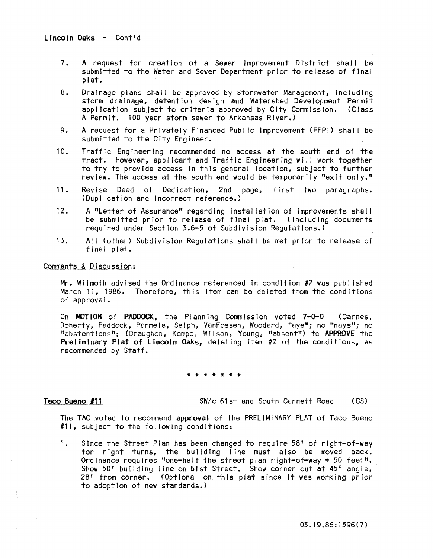- 7. A request for creation of a Sewer Improvement District shall be submitted to the Water and Sewer Department prior to release of final plat.
- 8. Drainage plans shall be approved by Stormwater Management, including storm drainage, detention design and Watershed Development Permit appJ Icatlon subject to criteria approved by City Commission. (Class A Permit. 100 year storm sewer to Arkansas River.)
- 9. A request for a Privately Financed Public Improvement (PFPI) shall be submitted to the City Engineer.
- 10. Traffic Engineering recommended no access at the south end of the tract. However, applicant and Traffic Engineering will work together to try to provide access In this general location, subject to further review. The access at the south end would be temporarily "exit only."
- 11. Revise Deed of Dedication, 2nd page, first two paragraphs. (Duplication and Incorrect reference.)
- 12. A "Letter of Assurance" regarding installation of improvements shall be submitted prior to release of final plat. (Including documents required under Section 3.6-5 of Subdivision Regulations.)
- 13. All (other) Subdivision Regulations shall be met prior to release of finai piat.

#### Comments & Discussion:

Mr. Wilmoth advised the Ordinance referenced In condition #2 was published March 11, 1986. Therefore, this Item can be deleted from the conditions of approval.

On MOTION of PADDOCK, the Planning Commission voted 7-0-0 (Carnes, Doherty, Paddock, Parmele, Selph, VanFossen, Woodard, "aye"; no "nays"; no "abstentions"; (Draughon, Kempe, Wilson, Young, "absent") to APPROVE the Preliminary Plat of Lincoln Oaks, deleting item #2 of the conditions, as recommended by Staff.

#### \* \* \* \* \* \* \*

Taco Bueno #11 SW/c 61st and South Garnett Road (CS)

The TAC voted to recommend approval of the PRELIMINARY PLAT of Taco Bueno #11, subject to the fol lowing conditions:

1. Since the Street Plan has been changed to require 58' of right-of-way for right turns, the building line must also be moved back. Ordinance requires "one-half the street plan right-of-way + 50 feet". Show 50' building line on 61st Street. Show corner cut at 45° angle, 28' from corner. (OptIonal on. this plat since it was working prior to adoption of new standards.)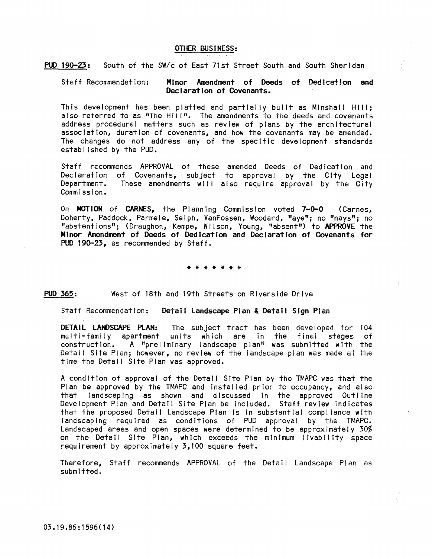# OTHER BUS I NESS:

PUD 190-23: South of the *SWlc* of East 71st Street South and South Sheridan

# Staff Recommendation: Minor Amendment of Deeds of Dedication and Declaration of Covenants.

This development has been platted and partially built as Minshall Hili; also referred to as "The Hill". The amendments to the deeds and covenants address procedural matters such as review of plans by the architectural association, duration of covenants, and how the covenants may be amended. The changes do not address any of the specific development standards established by the PUD.

Staff recommends APPROVAL of these amended Deeds of Dedication and Declaration of Covenants, subject to approval by the City Legal Department. These amendments will also require approval by the City Commission.

On MOTION of CARNES, the Planning Commission voted 7-0-0 (Carnes, Doherty, Paddock, Parmele, Selph, VanFossen, Woodard, "aye"; no "nays"; no "abstentions"; (Draughon, Kempe, Wi Ison, Young, "absent") to APPROVE the Minor Amendment of Deeds of Dedication and Declaration of Covenants for PUD 190-23, as recommended by Staff.

\* \* \* \* \* \* \*

PUO 365: West of 18th and 19th Streets on Riverside Drive

Staff Recommendation: Detail landscape Pian & Detail SI9n Plan

DETAIL LANDSCAPE PLAN: The subject tract has been developed for 104 multi-family apartment units which are in the final stages of<br>construction. A "preliminary landscape plan" was submitted with the  $A$  "preliminary landscape plan" was submitted with the Detaii Site Pian; however, no review of the iandscape pian was made at the time the Detail Site Plan was approved.

A condition of approval of the Detail Site Plan by the TMAPC was that the Plan be approved by the TMAPC and Installed prior to occupancy, and also that landscaping as shown and discussed In the approved Outline Development Plan and Detail Site Plan be Included. Staff review Indicates that the proposed Detail Landscape Plan Is In substantial compl lance with landscaping required as conditions of PUD approval by the TMAPC. Landscaped areas and open spaces were determined to be approximately 30% on the Detail Site Plan, which exceeds the minimum livability space requirement by approximately 3,100 square feet.

Therefore, Staff recommends APPROVAL of the Detail Landscape Plan as submitted.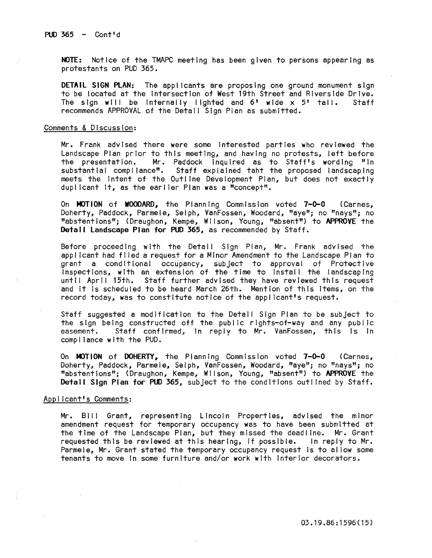NOTE: Notice of the TMAPC meeting has been given to persons appearing as protestants on PUD 365.

DETAIL SIGN PLAN: The applicants are proposing one ground monument sign to be located at the intersection of West 19th Street and Riverside Drive.<br>The sign will be internally lighted and 6' wide x 5' tall. Staff The sign will be internally lighted and  $6'$  wide  $\times$  5' tall. recommends APPROVAL of the Detail Sign Plan as submitted.

### Comments & Discussion:

Mr. Frank advised there were some interested parties who reviewed the Landscape Plan prior to this meeting, and having no protests, left before<br>the presentation. Mr. Paddock inquired as to Staff's wording "in the presentation. Mr. Paddock Inquired as to Staff's wording "In Staff explained taht the proposed landscaping meets the intent of the Outline Development Plan, but does not exactly dupllcant It, as the earlier Plan was a "concept".

On MOTION of WOODARD, the Planning Commission voted 7-0-0 (Carnes, Doherty, Paddock, Parmele, Selph, VanFossen, Woodard, "aye"; no "nays"; no "abstentions"; (Draughon, Kempe, Wilson, Young, "absent") to APPROVE the Detail Landscape Plan for PUD 365, as recommended by Staff.

Before proceeding with the Detail Sign Plan, Mr. Frank advised the applicant had filed a request for a Minor Amendment to the Landscape Plan to grant a conditional occupancy, subject to approval of Protective  $\overline{\mathsf{In}}$  spections, with an extension of the time to install the landscaping until April 15th. Staff further advised they have reviewed this request and It Is scheduled to be heard March 26th. Mention of this Items, on the record today, was to constitute notice of the applicant's request.

Staff suggested a modification to the DetaIl Sign Plan to be subject to the sign being constructed off the public rights-of-way and any public easement. Staff confirmed, in reply to Mr. VanFossen, this is In compl lance with the PUD.

On MOTION of DOHERTY, the Planning Commission voted 7-0-0 (Carnes, Doherty, Paddock, Parmele, Selph, VanFossen, Woodard, "aye"; no "nays"; no "abstentions"; (Draughon, Kempe, Wilson, Young, "absent") to APPROVE the Detail Sign Plan for PUD 365, subject to the conditions outlined by Staff.

#### Applicant's Comments:

Mr. BII I Grant, representing Lincoln Properties, advised the minor amendment request for temporary occupancy was to have been submitted at the time of the Landscape Plan, but they missed the deadline. Mr. Grant<br>requested this be reviewed at this hearing, if possible. In reply to Mr. requested this be reviewed at this hearing, if possible. Parmele, Mr. Grant stated the temporary occupancy request Is to al low some tenants to move In some furniture and/or work with interior decorators.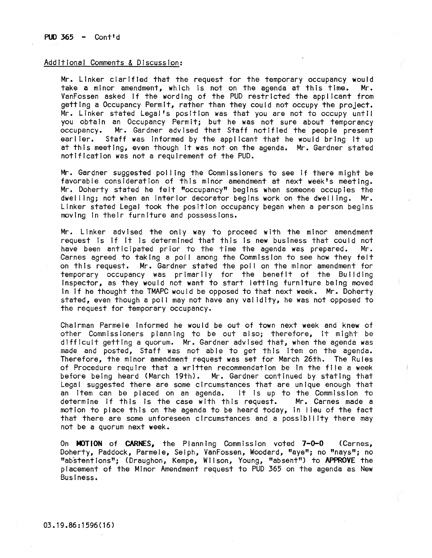# Additional Comments & Discussion:

Mr. Linker clarified that the request for the temporary occupancy would take a minor amendment, which is not on the agenda at this time. Mr. take a minor amendment, which is not on the agenda at this time. VanFossen asked if the wording of the PUD restricted the applicant from getting a Occupancy Permit, rather than they could not occupy the project. Mr. Linker stated Legal's position was that you are not to occupy until you obtain an Occupancy Permit; but he was not sure about temporancy<br>occupancy. Mr. Gardner advised that Staff notified the people present occupancy. Mr. Gardner advised that Staff notified the people present<br>earlier. Staff was informed by the applicant that he would bring it up Staff was informed by the applicant that he would bring it up at this meeting, even though It was not on the agenda. Mr. Gardner stated notification was not a requirement of the PUD.

Mr. Gardner suggested pol ling the Commissioners to see If there might be favorable consideration of this minor amendment at next week's meeting. Mr. Doherty stated he felt "occupancy" begins when someone occupies the dwelling; not when an interior decorator begins work on the dwelling. Mr. Linker stated Legal took the position occupancy began when a person begins moving In their furniture and possessions.

Mr. Linker advised the only way to proceed with the minor amendment request Is If It Is determined that this Is new business that could not have been anticipated prior to the time the agenda was prepared. Mr. Carnes agreed to taking a po!1 among the Commission to see how they felt on this request. Mr. Gardner stated the poll on the mInor amendment for temporary occupancy was primarily for the benefit of the Building Inspector, as they would not want to start letting furniture being moved In If he thought the TMAPC would be opposed to that next week. Mr. Doherty stated, even though a poll may not have any validity, he was not opposed to the request for temporary occupancy.

Chairman Parmele Informed he would be out of town next week and knew of other Commissioners planning to be out also; therefore, It might be difficult getting a quorum. Mr. Gardner advised that, when the agenda was made and posted, Staff was not able to get this item on the agenda. Therefore, the minor amendment request was set for March 26th. The Rules of Procedure requIre that a wrItten recommendation be In the file a week before being heard (March 19th). Mr. Gardner continued by stating that Legal suggested there are some circumstances that are unique enough that an item can be placed on an agenda. It is up to the Commission to determine if this is the case with this request. Mr. Carnes made a determine if this is the case with this request. motion to place this on the agenda to be heard today, In I leu of the fact that there are some unforeseen circumstances and a possibility there may not be a quorum next week.

On MOTION of CARNES, the Planning Commission voted 7-0-0 (Carnes, Doherty, Paddock, Parmele, Selph, VanFossen, Woodard, "aye"; no "nays"; no "ab'stentlons"; (Draughon, Kempe, W II son, Young, "absent") to APPROVE the placement of the Minor Amendment request to PUD 365 on the agenda as New Business.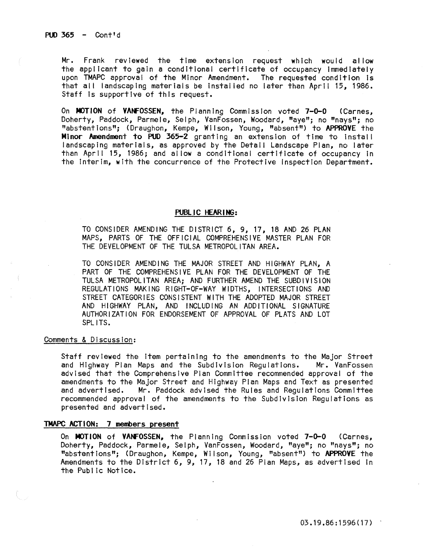Mr. Frank reviewed the time extension request which would al low the applicant to gain a conditional certificate of occupancy Immediately upon TMAPC approval of the Minor Amendment. The requested condition Is that all landscaping materials be installed no later than April 15, 1986. Staff Is supportive of this request.

On MOTION of VANFOSSEN, the Planning Commission voted 7-0-0 (Carnes, Doherty, Paddock, Parmele, Selph, VanFossen, Woodard, "aye"; no "nays"; no "abstentions"; (Draughon, Kempe, WII son, Young, "absent") to APPROVE the Minor Amendment to PUO 365-2 granting an extension of time to install landscaping materials, as approved by the Detail Landscape Plan, no later than April 15, 1986; and allow a conditional certificate of occupancy in the Interim, with the concurrence of the Protective Inspection Department.

### PUBLIC HEARING:

TO CONSIDER AMENDING THE DISTRICT 6, 9, 17, 18 AND 26 PLAN MAPS, PARTS OF THE OFFICIAL COMPREHENSIVE MASTER PLAN FOR THE DEVELOPMENT Of THE TULSA METROPOLITAN AREA.

TO CONSIDER AMENDING THE MAJOR STREET AND HIGHWAY PLAN, A PART Of THE COMPREHENSIVE PLAN FOR THE DEVELOPMENT OF THE TULSA METROPOLITAN AREA; AND FURTHER AMEND THE SUBDIVISION REGULATIONS MAKING RIGHT-Of-WAY WIDTHS, INTERSECTIONS AND STREET CATEGORIES CONSISTENT WITH THE ADOPTED MAJOR STREET AND HIGHWAY PLAN, AND INCLUDING AN ADDITIONAL SIGNATURE AUTHORIZATION fOR ENDORSEMENT OF APPROVAL Of PLATS AND LOT SPL ITS.

### Comments & Discussion:

Staff reviewed the Item pertaining to the amendments to the Major Street and Highway Plan Maps and the Subdivision Regulations. Mr. VanFossen advised that the Comprehensive Plan Committee recommended approval of the amendments to the Major Street and Highway Plan Maps and Text as presented and advertised. Mr. Paddock advised the Rules and Regulations Committee recommended approval of the amendments to the Subdivision Regulations as presented and advertised.

# TMAPC ACTION: 7 members present

On MOTION of VANFOSSEN, the Planning Commission voted 7-0-0 (Carnes, Doherty, Paddock, Parmele, Selph, VanFossen, Woodard, "aye"; no "nays"; no "abstent Ions"; (Draughon, Kempe, W II son, Young, "absent") to APPROVE the Amendments to the District 6, 9, 17, 18 and 26 Plan Maps, as advertised In the Public Notice.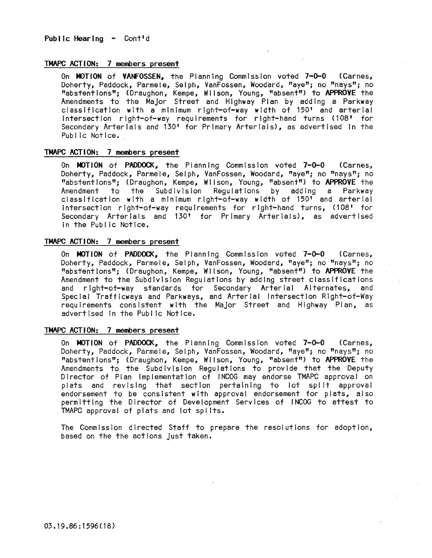# TMAPC ACTION: 7 members present

On MOTION of VANFOSSEN. the Planning Commission voted 7-0-0 (Carnes, Doherty, Paddock, Parmele, Selph, VanFossen, Woodard, "aye"; no "nays"; no "abstentions"; (Draughon, Kempe, Wilson, Young, "absent") to APPROVE the Amendments to the Major Street and Highway Plan by adding a Parkway classification with a minimum right-of-way width of 150' and arterial Intersection right-of-way requirements for right-hand turns (108' for Secondary Arterials and 130' for Primary Arterials), as advertised In the Public Notice.

# TMAPC ACTION: 7 members present

On MOTION of PADDOCK, the Planning Commission voted 7-0-0 (Carnes, Doherty, Paddock, Parmele, Selph, VanFossen, Woodard, "aye"; no "nays"; no **"a**bstentions**";** (Draughon, Kempe, Wilson, Young, "absent") to **APPROVE** the<br>Amendment to the Subdivision Regulations by adding a Parkway Amendment to the Subdivision Regulations by classification with a mInimum right-of-way width of 150' and arterial intersection right-of-way requirements for right-hand turns, (108' for Secondary Arterials and 130' for Primary Arterials), as advertised In the Public Notice.

# TMAPC ACTION: 7 members present

On MOTION of PADDOCK, the Planning Commission voted 7-0-0 (Carnes, Doherty, Paddock, Parmele, Selph, VanFossen, Woodard, "aye"; no "nays"; no "abstentions"; (Draughon, Kempe, Wilson, Young, "absent") to APPROVE the Amendment to the SubdIvision Regulations by adding street classifications and right-of-way standards for Secondary Arterial Alternates, and Special Trafflcways and Parkways, and Arterial Intersection Right-of-Way requirements consistent with the Major Street and Highway Plan, as advertised In the Public Notice.

### TMAPC ACTION: 7 members present

On MOTION of PADDOCK, the Planning Commission voted 7-0-0 (Carnes, Doherty; Paddock, **Parmele, Selph, VanFossen, Woodard, "aye"; no "nays"; no**  "abstentions": (Draughon, Kempe, Wilson, Young, "absent") to APPROVE the Amendments to the Subdivision Regulations to provide that the Deputy Director of Plan Implementation of INCOG may endorse TMAPC approval on plats and revising that section pertaining to lot split approval endorsement to be consistent with approval endorsement for plats, also permitting the Director of Development Services of INCOG to attest to TMAPC approval of plats and lot spl Its.

The Commission directed Staff to prepare the resolutions for adoption, based on the the actions Just taken.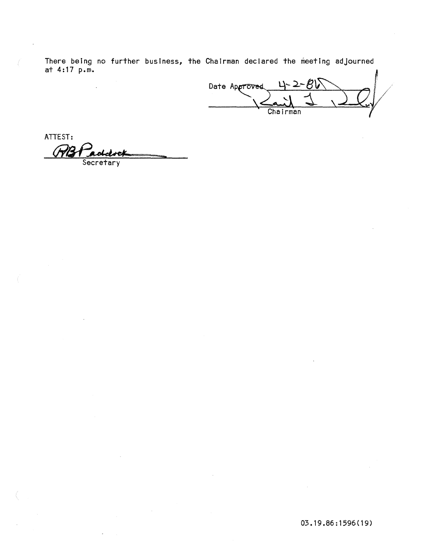There being no further business, the Chairman declared the meeting adjourned at  $4:17$  p.m.

Date Approved Chairman

ATTEST:

Secretary